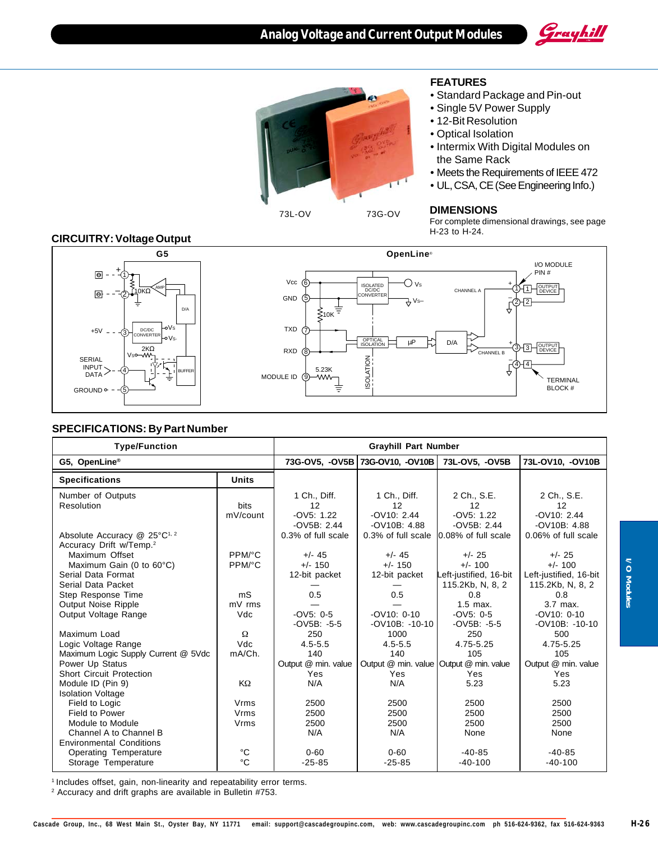



### **FEATURES**

- Standard Package and Pin-out
- Single 5V Power Supply
- 12-Bit Resolution
- Optical Isolation
- Intermix With Digital Modules on the Same Rack
- Meets the Requirements of IEEE 472
- UL, CSA, CE (See Engineering Info.)

### **DIMENSIONS**

For complete dimensional drawings, see page H-23 to H-24.

### **CIRCUITRY: Voltage Output**



#### **SPECIFICATIONS: By Part Number**

| <b>Type/Function</b>                                                            | <b>Grayhill Part Number</b> |                                                     |                                                      |                                                         |                                                         |  |
|---------------------------------------------------------------------------------|-----------------------------|-----------------------------------------------------|------------------------------------------------------|---------------------------------------------------------|---------------------------------------------------------|--|
| G5, OpenLine®                                                                   |                             | 73G-OV5, -OV5B 73G-OV10, -OV10B 73L-OV5, -OV5B      |                                                      | 73L-OV10, -OV10B                                        |                                                         |  |
| <b>Specifications</b>                                                           | <b>Units</b>                |                                                     |                                                      |                                                         |                                                         |  |
| Number of Outputs<br>Resolution                                                 | bits<br>mV/count            | 1 Ch., Diff.<br>12<br>$-OV5: 1.22$<br>$-OV5B: 2.44$ | 1 Ch., Diff.<br>12<br>$-$ OV10: 2.44<br>-OV10B: 4.88 | 2 Ch., S.E.<br>12<br>$-OV5: 1.22$<br>$-OV5B: 2.44$      | 2 Ch., S.E.<br>12<br>$-$ OV10: 2.44<br>$-OV10B: 4.88$   |  |
| Absolute Accuracy @ 25°C <sup>1, 2</sup><br>Accuracy Drift w/Temp. <sup>2</sup> |                             | 0.3% of full scale                                  | 0.3% of full scale                                   | 10.08% of full scale                                    | 0.06% of full scale                                     |  |
| Maximum Offset                                                                  | PPM/°C                      | $+/- 45$                                            | $+/- 45$                                             | $+/- 25$                                                | $+/- 25$                                                |  |
| Maximum Gain (0 to $60^{\circ}$ C)<br>Serial Data Format<br>Serial Data Packet  | PPM/°C                      | $+/- 150$<br>12-bit packet                          | $+/- 150$<br>12-bit packet                           | $+/- 100$<br>Left-justified, 16-bit<br>115.2Kb, N, 8, 2 | $+/- 100$<br>Left-justified, 16-bit<br>115.2Kb, N, 8, 2 |  |
| Step Response Time                                                              | mS                          | 0.5                                                 | 0.5                                                  | 0.8                                                     | 0.8                                                     |  |
| <b>Output Noise Ripple</b>                                                      | mV rms                      |                                                     |                                                      | $1.5$ max.                                              | 3.7 max.                                                |  |
| Output Voltage Range                                                            | Vdc                         | $-0V5: 0.5$<br>$-OV5B: -5-5$                        | $-OVI0: 0-10$<br>$-OV10B$ : $-10-10$                 | $-OV5: 0-5$<br>$-OV5B: -5-5$                            | $-$ OV10: 0-10<br>$-OV10B$ : $-10-10$                   |  |
| Maximum Load                                                                    | Ω                           | 250                                                 | 1000                                                 | 250                                                     | 500                                                     |  |
| Logic Voltage Range                                                             | Vdc                         | $4.5 - 5.5$                                         | $4.5 - 5.5$                                          | 4.75-5.25                                               | 4.75-5.25                                               |  |
| Maximum Logic Supply Current @ 5Vdc                                             | mA/Ch.                      | 140                                                 | 140                                                  | 105                                                     | 105                                                     |  |
| Power Up Status                                                                 |                             | Output @ min. value                                 | Output @ min. value Output @ min. value              |                                                         | Output @ min. value                                     |  |
| <b>Short Circuit Protection</b>                                                 |                             | Yes                                                 | Yes                                                  | Yes                                                     | Yes.                                                    |  |
| Module ID (Pin 9)                                                               | KΩ                          | N/A                                                 | N/A                                                  | 5.23                                                    | 5.23                                                    |  |
| <b>Isolation Voltage</b>                                                        |                             | 2500                                                | 2500                                                 | 2500                                                    | 2500                                                    |  |
| Field to Logic<br>Field to Power                                                | Vrms<br>Vrms                | 2500                                                | 2500                                                 | 2500                                                    | 2500                                                    |  |
| Module to Module                                                                | Vrms                        | 2500                                                | 2500                                                 | 2500                                                    | 2500                                                    |  |
| Channel A to Channel B                                                          |                             | N/A                                                 | N/A                                                  | None                                                    | None                                                    |  |
| <b>Environmental Conditions</b>                                                 |                             |                                                     |                                                      |                                                         |                                                         |  |
| <b>Operating Temperature</b>                                                    | °C                          | $0 - 60$                                            | $0 - 60$                                             | $-40-85$                                                | $-40-85$                                                |  |
| Storage Temperature                                                             | °C                          | $-25 - 85$                                          | $-25 - 85$                                           | $-40-100$                                               | $-40-100$                                               |  |

<sup>1</sup> Includes offset, gain, non-linearity and repeatability error terms.

2 Accuracy and drift graphs are available in Bulletin #753.

**I/O Modules**

I/O Modules